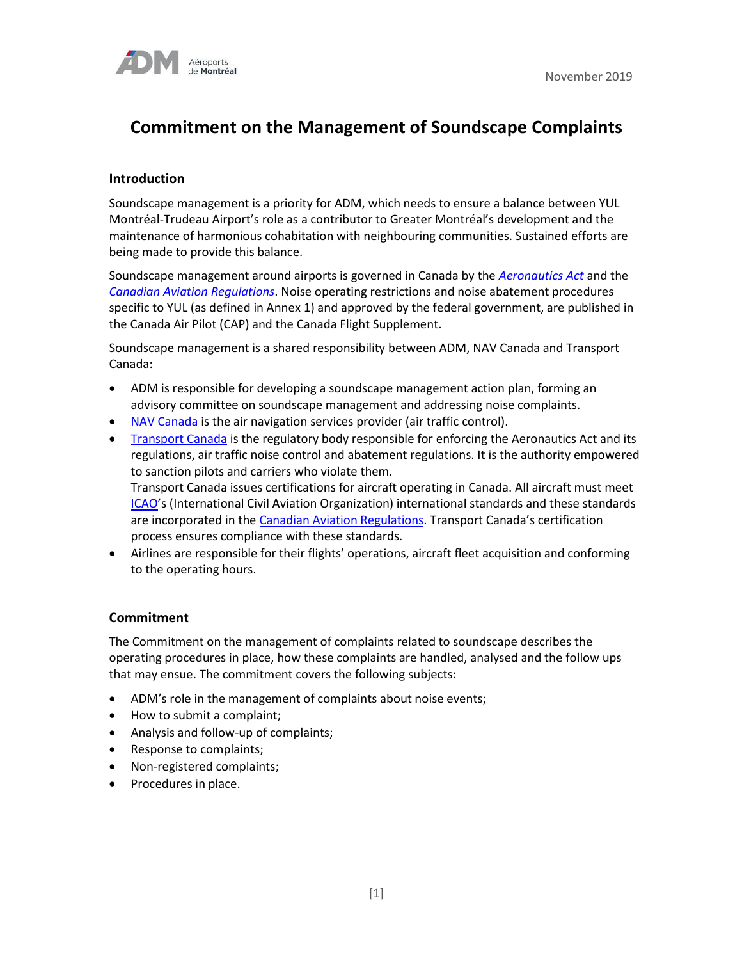

### **Commitment on the Management of Soundscape Complaints**

#### **Introduction**

Soundscape management is a priority for ADM, which needs to ensure a balance between YUL Montréal-Trudeau Airport's role as a contributor to Greater Montréal's development and the maintenance of harmonious cohabitation with neighbouring communities. Sustained efforts are being made to provide this balance.

Soundscape management around airports is governed in Canada by the *[Aeronautics Act](https://www.tc.gc.ca/eng/acts-regulations/acts-1985ca-2.htm)* and the *[Canadian Aviation Regulations](https://www.tc.gc.ca/en/transport-canada/corporate/acts-regulations/regulations/sor-96-433.html)*. Noise operating restrictions and noise abatement procedures specific to YUL (as defined in Annex 1) and approved by the federal government, are published in the Canada Air Pilot (CAP) and the Canada Flight Supplement.

Soundscape management is a shared responsibility between ADM, NAV Canada and Transport Canada:

- ADM is responsible for developing a soundscape management action plan, forming an advisory committee on soundscape management and addressing noise complaints.
- [NAV Canada](https://www.navcanada.ca/en/Pages/default.aspx) is the air navigation services provider (air traffic control).
- [Transport Canada](https://www.tc.gc.ca/en/services/aviation.html) is the regulatory body responsible for enforcing the Aeronautics Act and its regulations, air traffic noise control and abatement regulations. It is the authority empowered to sanction pilots and carriers who violate them. Transport Canada issues certifications for aircraft operating in Canada. All aircraft must meet [ICAO](https://www.icao.int/environmental-protection/Pages/noise.aspx)'s (International Civil Aviation Organization) international standards and these standards are incorporated in the [Canadian Aviation Regulations](https://www.tc.gc.ca/en/transport-canada/corporate/acts-regulations/regulations/sor-96-433.html). Transport Canada's certification process ensures compliance with these standards.
- Airlines are responsible for their flights' operations, aircraft fleet acquisition and conforming to the operating hours.

#### **Commitment**

The Commitment on the management of complaints related to soundscape describes the operating procedures in place, how these complaints are handled, analysed and the follow ups that may ensue. The commitment covers the following subjects:

- ADM's role in the management of complaints about noise events;
- How to submit a complaint;
- Analysis and follow-up of complaints;
- Response to complaints;
- Non-registered complaints;
- Procedures in place.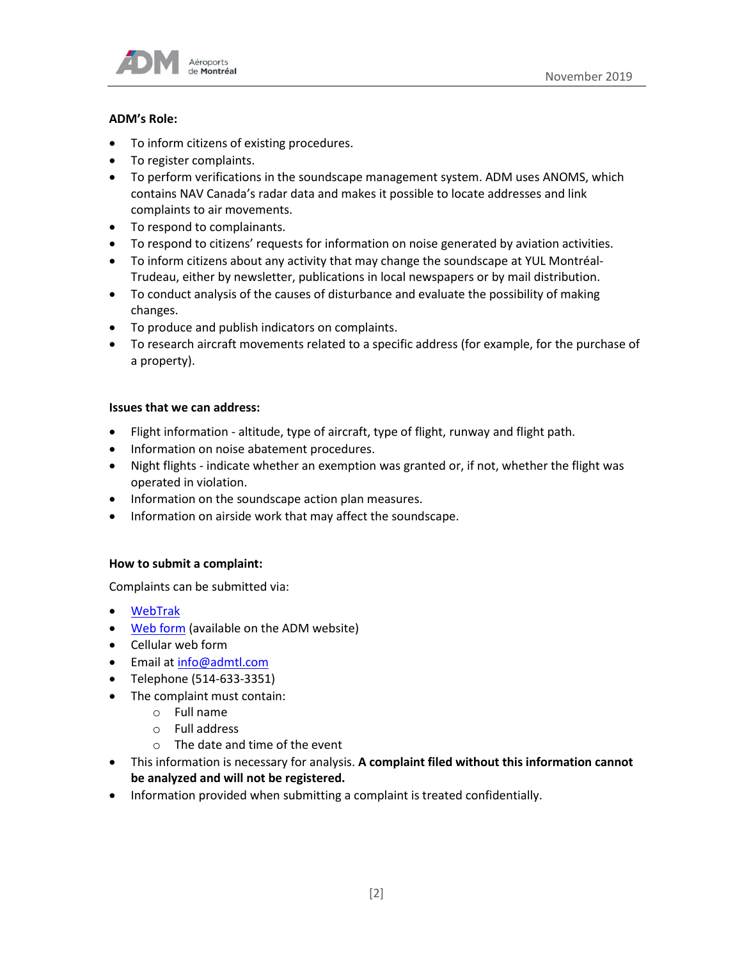

#### **ADM's Role:**

- To inform citizens of existing procedures.
- To register complaints.
- To perform verifications in the soundscape management system. ADM uses ANOMS, which contains NAV Canada's radar data and makes it possible to locate addresses and link complaints to air movements.
- To respond to complainants.
- To respond to citizens' requests for information on noise generated by aviation activities.
- To inform citizens about any activity that may change the soundscape at YUL Montréal-Trudeau, either by newsletter, publications in local newspapers or by mail distribution.
- To conduct analysis of the causes of disturbance and evaluate the possibility of making changes.
- To produce and publish indicators on complaints.
- To research aircraft movements related to a specific address (for example, for the purchase of a property).

#### **Issues that we can address:**

- Flight information altitude, type of aircraft, type of flight, runway and flight path.
- Information on noise abatement procedures.
- Night flights indicate whether an exemption was granted or, if not, whether the flight was operated in violation.
- Information on the soundscape action plan measures.
- Information on airside work that may affect the soundscape.

#### **How to submit a complaint:**

Complaints can be submitted via:

- [WebTrak](https://webtrak.emsbk.com/yul2)
- [Web form](https://www.admtl.com/en/adm/communities/soundscape/report-noise-event) (available on the ADM website)
- Cellular web form
- Email at [info@admtl.com](mailto:info@admtl.com)
- Telephone (514-633-3351)
- The complaint must contain:
	- o Full name
	- o Full address
	- $\circ$  The date and time of the event
- This information is necessary for analysis. **A complaint filed without this information cannot be analyzed and will not be registered.**
- Information provided when submitting a complaint is treated confidentially.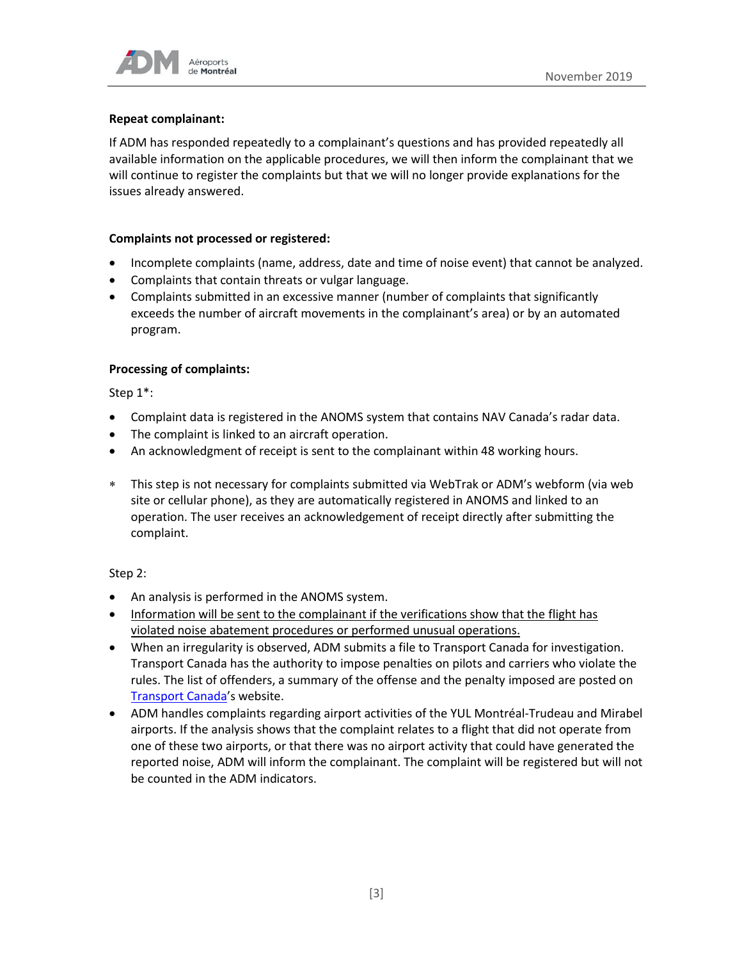

#### **Repeat complainant:**

If ADM has responded repeatedly to a complainant's questions and has provided repeatedly all available information on the applicable procedures, we will then inform the complainant that we will continue to register the complaints but that we will no longer provide explanations for the issues already answered.

#### **Complaints not processed or registered:**

- Incomplete complaints (name, address, date and time of noise event) that cannot be analyzed.
- Complaints that contain threats or vulgar language.
- Complaints submitted in an excessive manner (number of complaints that significantly exceeds the number of aircraft movements in the complainant's area) or by an automated program.

#### **Processing of complaints:**

Step 1\*:

- Complaint data is registered in the ANOMS system that contains NAV Canada's radar data.
- The complaint is linked to an aircraft operation.
- An acknowledgment of receipt is sent to the complainant within 48 working hours.
- This step is not necessary for complaints submitted via WebTrak or ADM's webform (via web site or cellular phone), as they are automatically registered in ANOMS and linked to an operation. The user receives an acknowledgement of receipt directly after submitting the complaint.

#### Step 2:

- An analysis is performed in the ANOMS system.
- Information will be sent to the complainant if the verifications show that the flight has violated noise abatement procedures or performed unusual operations.
- When an irregularity is observed, ADM submits a file to Transport Canada for investigation. Transport Canada has the authority to impose penalties on pilots and carriers who violate the rules. The list of offenders, a summary of the offense and the penalty imposed are posted on [Transport Canada](https://www.tc.gc.ca/eng/civilaviation/standards/standards-enforcement-publications-corporate-menu-680.htm)'s website.
- ADM handles complaints regarding airport activities of the YUL Montréal-Trudeau and Mirabel airports. If the analysis shows that the complaint relates to a flight that did not operate from one of these two airports, or that there was no airport activity that could have generated the reported noise, ADM will inform the complainant. The complaint will be registered but will not be counted in the ADM indicators.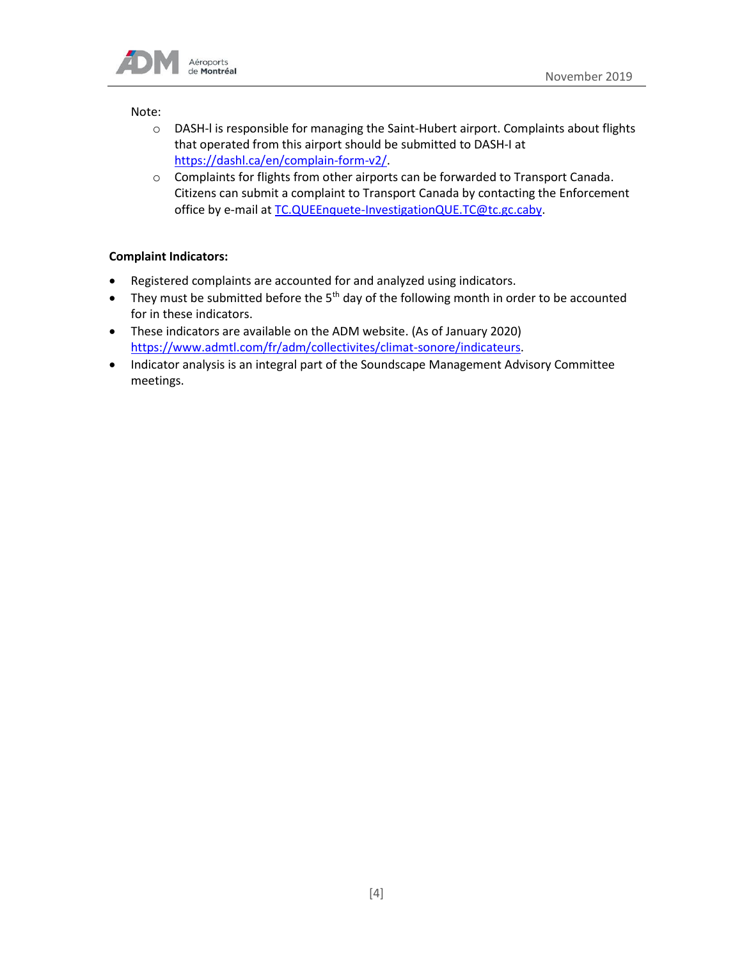

#### Note:

- o DASH-l is responsible for managing the Saint-Hubert airport. Complaints about flights that operated from this airport should be submitted to DASH-I at [https://dashl.ca/en/complain-form-v2/.](https://dashl.ca/en/complain-form-v2/)
- o Complaints for flights from other airports can be forwarded to Transport Canada. Citizens can submit a complaint to Transport Canada by contacting the Enforcement office by e-mail at [TC.QUEEnquete-InvestigationQUE.TC@tc.gc.caby.](mailto:TC.QUEEnquete-InvestigationQUE.TC@tc.gc.caby)

#### **Complaint Indicators:**

- Registered complaints are accounted for and analyzed using indicators.
- They must be submitted before the  $5<sup>th</sup>$  day of the following month in order to be accounted for in these indicators.
- These indicators are available on the ADM website. (As of January 2020) [https://www.admtl.com/fr/adm/collectivites/climat-sonore/indicateurs.](https://www.admtl.com/fr/adm/collectivites/climat-sonore/indicateurs)
- Indicator analysis is an integral part of the Soundscape Management Advisory Committee meetings.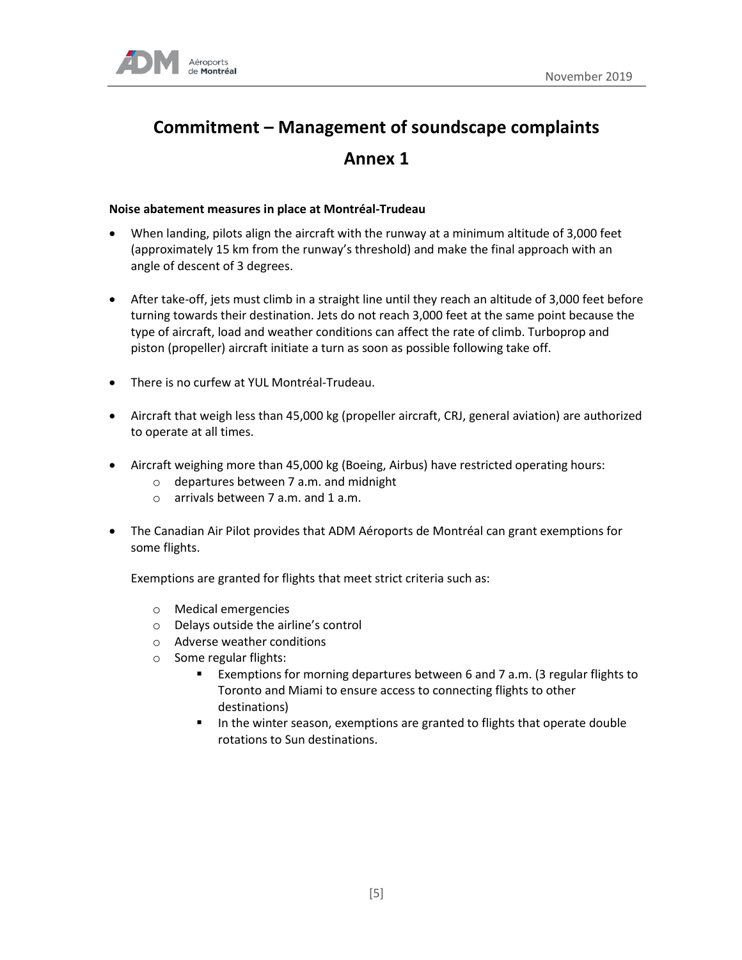

# **Commitment – Management of soundscape complaints Annex 1**

#### **Noise abatement measures in place at Montréal-Trudeau**

- When landing, pilots align the aircraft with the runway at a minimum altitude of 3,000 feet (approximately 15 km from the runway's threshold) and make the final approach with an angle of descent of 3 degrees.
- After take-off, jets must climb in a straight line until they reach an altitude of 3,000 feet before turning towards their destination. Jets do not reach 3,000 feet at the same point because the type of aircraft, load and weather conditions can affect the rate of climb. Turboprop and piston (propeller) aircraft initiate a turn as soon as possible following take off.
- There is no curfew at YUL Montréal-Trudeau.
- Aircraft that weigh less than 45,000 kg (propeller aircraft, CRJ, general aviation) are authorized to operate at all times.
- Aircraft weighing more than 45,000 kg (Boeing, Airbus) have restricted operating hours:
	- o departures between 7 a.m. and midnight
	- o arrivals between 7 a.m. and 1 a.m.
- The Canadian Air Pilot provides that ADM Aéroports de Montréal can grant exemptions for some flights.

Exemptions are granted for flights that meet strict criteria such as:

- o Medical emergencies
- o Delays outside the airline's control
- o Adverse weather conditions
- o Some regular flights:
	- Exemptions for morning departures between 6 and 7 a.m. (3 regular flights to Toronto and Miami to ensure access to connecting flights to other destinations)
	- In the winter season, exemptions are granted to flights that operate double rotations to Sun destinations.